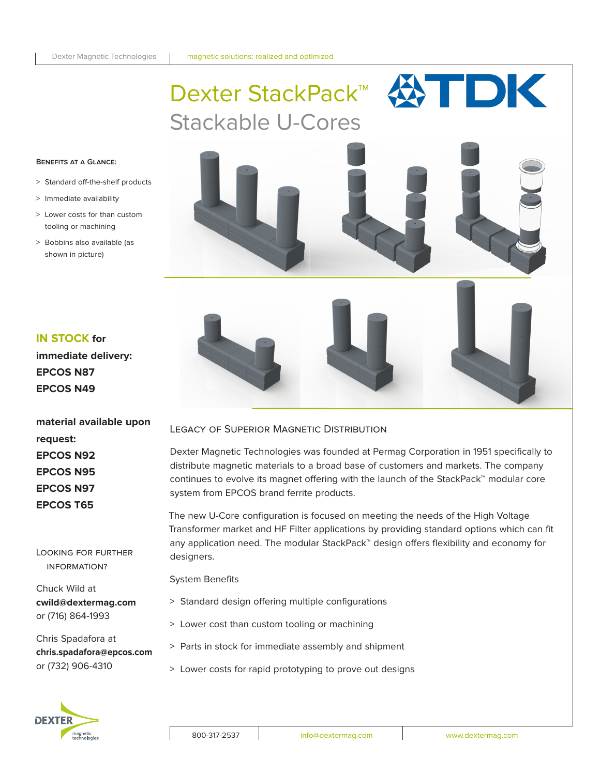

## **Benefits at a Glance:**

- > Standard off-the-shelf products
- > Immediate availability
- > Lower costs for than custom tooling or machining
- > Bobbins also available (as shown in picture)

# **IN STOCK for**

**immediate delivery: EPCOS N87 EPCOS N49**

**material available upon request: EPCOS N92 EPCOS N95 EPCOS N97 EPCOS T65**

Looking for further information?

Chuck Wild at **cwild@dextermag.com** or (716) 864-1993

Chris Spadafora at **chris.spadafora@epcos.com** or (732) 906-4310



Dexter Magnetic Technologies was founded at Permag Corporation in 1951 specifically to distribute magnetic materials to a broad base of customers and markets. The company continues to evolve its magnet offering with the launch of the StackPack™ modular core system from EPCOS brand ferrite products.

The new U-Core configuration is focused on meeting the needs of the High Voltage Transformer market and HF Filter applications by providing standard options which can fit any application need. The modular StackPack™ design offers flexibility and economy for designers.

System Benefits

- > Standard design offering multiple configurations
- > Lower cost than custom tooling or machining
- > Parts in stock for immediate assembly and shipment
- > Lower costs for rapid prototyping to prove out designs